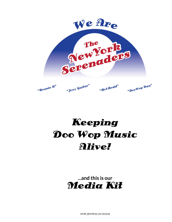

# Keeping Doo Wop Music Alive!

## **...and this is our** Media Kit

NYSR\_009 PR Kit\_03: 052518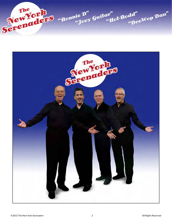

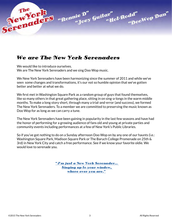

#### We are The New York Serenaders

We would like to introduce ourselves. We are The New York Serenaders and we sing Doo Wop music.

We New York Serenaders have been harmonizing since the summer of 2011 and while we've seen some changes and transformations, it's our not so humble opinion that we've gotten better and better at what we do.

We first met in Washington Square Park as a random group of guys that found themselves, like so many others in that great gathering place, sitting in on sing-a-longs in the warm middle months. To make a long story short, through many a trial-and-error (and success), we formed The New York Serenaders. To a member we are committed to preserving the music known as Doo Wop for as long as we can carry a tune.

The New York Serenaders have been gaining in popularity in the last few seasons and have had the honor of performing for a growing audience of fans old and young at private parties and community events including performances at a few of New York's Public Libraries.

So if you've got nothing to do on a Sunday afternoon Doo Wop on by any one of our haunts (i.e.: Washington Square Park, Madison Square Park or The Baruch College Promenade on 25th & 3rd) in New York City and catch a free performance. See if we know your favorite oldie. We would love to serenade you.

> "I'm just a New York Serenader... Singing up to your window, where ever you are."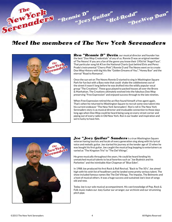

#### Meet the members of The New York Serenaders



Ron "Ronnie D" Derin, our musical director and founder has the best "Doo Wop Credentials" of any of us. Ronnie D was an original member of The Neons! If you are a fan of the genre you know their 1956 hit "Angel Face". That particular song hit #3 on the National Charts (just behind Elvis and Perez Prado's instrumental "Cherry Pink".) Ronnie D and The Neons went on to create Doo Wop History with big hits like "Golden Dreams of You", "Honey Bun" and the eternal "Road to Romance".

Once the sun set on The Neons Ronnie D started to sing in Washington Square Park for fun but with a Bass note that could shake the cobblestones out of the street it wasn't long before he was drafted into the wildly popular vocal group "The Creations". These guys played to packed houses all over the Bronx & Manhattan. The Creations ultimately evolved into the fabulous Doo Wop preserving "Free Expression" and enjoyed success through to the late nineties.

When Free Expression retired the act Ron found himself a free agent again. That's when he returned to Washington Square to recruit some new talent into his current endeavor "The New York Serenaders". Ron's roll in The New York Serenaders story is as musical director and invaluable connection to those days long ago when Doo Wop could be heard being sung on every street corner and piping out of every radio in Old New York. Ron is our leader and inspiration and we're lucky to have him.



Joe "Joey Guitar" Sanders is a true Washington Square veteran having tourists and locals of every generation sing along with his lyrical voice and melodic guitar. Joe started his journey at the tender age of 15 when he was bought his first guitar. Joe caught the musical bug bopping to entertainers as varied as "The Kingston Trio" to "The Del Vikings".

He grew musically throughout the years. He could be heard lending his unmatched musical talents to local favorites such as "Joe Budnick and his Parkettes" and the inimitable Alan Chapman of "Blue Eden".

In 1988 Joe produced his first Rock & Roll Revival, "Back to The 50's". Joe aimed high with his wish list of headliners and he landed some pretty serious talent. The show included famous names like The Del Vikings, The Impalas, The Belmonts and a host of musical others. It was a huge success and sustained Joe's love of songs old and new.

Today Joe is our sole musical accompaniment. His vast knowledge of Pop, Rock & Folk music makes our Joey Guitar our arranger, our archivist and our strumming pitch pipe.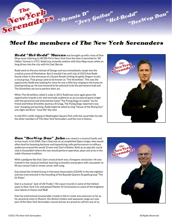

#### Meet the members of The New York Serenaders

Rodd "Hot-Rodd" Marcus was brought up with a love of Doo Wop music listening to WCBS FM in New York from the time it launched its "All Oldies" format in 1972. Rodd was instantly smitten with Doo Wop music while on long drives into the city with his Dad, Bernie.

Rodd went to Parsons School of Design and was immediately swept into the creative scene of Manhattan. But it wouldn't be until July of 2010 that Rodd found a flyer in the entryway of a Duane Reade inviting Acapella Singers to join a vocal group. That group came to be known as "The Streetlites". This was the opportunity Rodd was looking for since he was a little boy singing to the tunes he loved growing up. He was honored to be selected to be the permanent lead and The Streetlites set out to perfect their act.

When The Streetlites called it a day in 2011 Rodd was once again given the opportunity to grab a mic and serenade audiences as an occasional guest singer with the perennial and historied bar band "The Flying Dogs of Jupiter" by his friend and fellow Streetlite alumnus Al Grigg. The Flying Dogs repertoire was ever changing and exciting. Rodd might be asked to sing "House of the Rising Sun" one night and Elvis' "Love Me" the next.

In mid 2011 while singing in Washington Square Park with the usual folks he met the other members of The New York Serenaders and the rest is history.



Dan "DooWop Dan" Juhn was raised in a musical family and so has music in his DNA. Dan's Dad was an accomplished Opera singer who would often lend his booming baritone and hypnotizing cello performances to military audiences around the world. Ernest met Dan's Mother, Ruth at an operatic social club in Dusseldorf where the two would perform operettas, plays and arias in the noble Viennese tradition.

With a pedigree like that, Dan's musical bent was a foregone conclusion. He was trained in the classical method, learning to breathe and project with raw power to fill any concert hall or street corner with song.

Dan joined the United Group in Harmony Association (UGHA) in the late eighties and was instrumental in the founding of the Bayside Queens Acapella group "The Di-Poles".

Dan is a musical "Jack-of-All-Trades". He's spun records in some of the hottest spots in New York City and played Master of Ceremonies to some of the brightest new talents in Dance and R&B.

Dan has entertained innumerable crowds in the tri-state area and even as far as his ancestral roots in Munich. His distinct timbre and awesome range are now part of the New York Serenaders sound and we are proud to call him one of us.

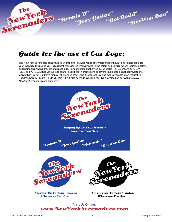

### Guide for the use of Our Logo:

The New York Serenaders can provide our branding in a wide range of formats and configurations to help promote your events to the public. Our logo is best represented when printed in the colors and configurations indicated below depending on printing process and readability. For publishing on the web our Website Hex Colors are #293189 (Blue) and #BF1E2E (Red). If our logo cannot be utilized in promotions or advertising please do not abbreviate the words "New York". Digital versions of all branded assets and photographs can be made available upon request to RoddM@CarpeVM.com. This PR/Media Kit will also be made available for PDF download on our website www. NewYorkSerenaders.com. Thank you.



**Visit Us Online:** www.NewYorkSerenaders.com